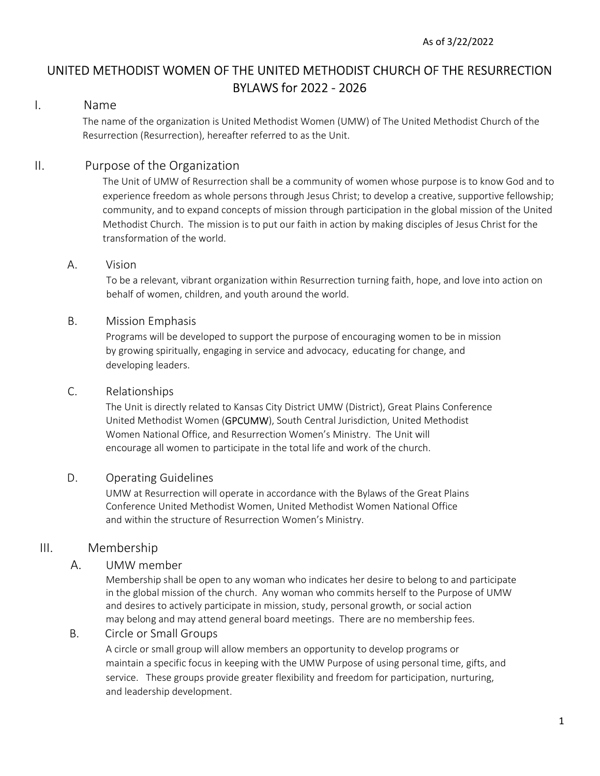# UNITED METHODIST WOMEN OF THE UNITED METHODIST CHURCH OF THE RESURRECTION BYLAWS for 2022 - 2026

### I. Name

 The name of the organization is United Methodist Women (UMW) of The United Methodist Church of the Resurrection (Resurrection), hereafter referred to as the Unit.

## II. Purpose of the Organization

 The Unit of UMW of Resurrection shall be a community of women whose purpose is to know God and to experience freedom as whole persons through Jesus Christ; to develop a creative, supportive fellowship; community, and to expand concepts of mission through participation in the global mission of the United Methodist Church. The mission is to put our faith in action by making disciples of Jesus Christ for the transformation of the world.

#### A. Vision

To be a relevant, vibrant organization within Resurrection turning faith, hope, and love into action on behalf of women, children, and youth around the world.

#### B. Mission Emphasis

Programs will be developed to support the purpose of encouraging women to be in mission by growing spiritually, engaging in service and advocacy, educating for change, and developing leaders.

#### C. Relationships

 The Unit is directly related to Kansas City District UMW (District), Great Plains Conference United Methodist Women (GPCUMW), South Central Jurisdiction, United Methodist Women National Office, and Resurrection Women's Ministry. The Unit will encourage all women to participate in the total life and work of the church.

#### D. Operating Guidelines

 UMW at Resurrection will operate in accordance with the Bylaws of the Great Plains Conference United Methodist Women, United Methodist Women National Office and within the structure of Resurrection Women's Ministry.

#### III. Membership

#### A. UMW member

 Membership shall be open to any woman who indicates her desire to belong to and participate in the global mission of the church. Any woman who commits herself to the Purpose of UMW and desires to actively participate in mission, study, personal growth, or social action may belong and may attend general board meetings. There are no membership fees.

#### B. Circle or Small Groups

A circle or small group will allow members an opportunity to develop programs or maintain a specific focus in keeping with the UMW Purpose of using personal time, gifts, and service. These groups provide greater flexibility and freedom for participation, nurturing, and leadership development.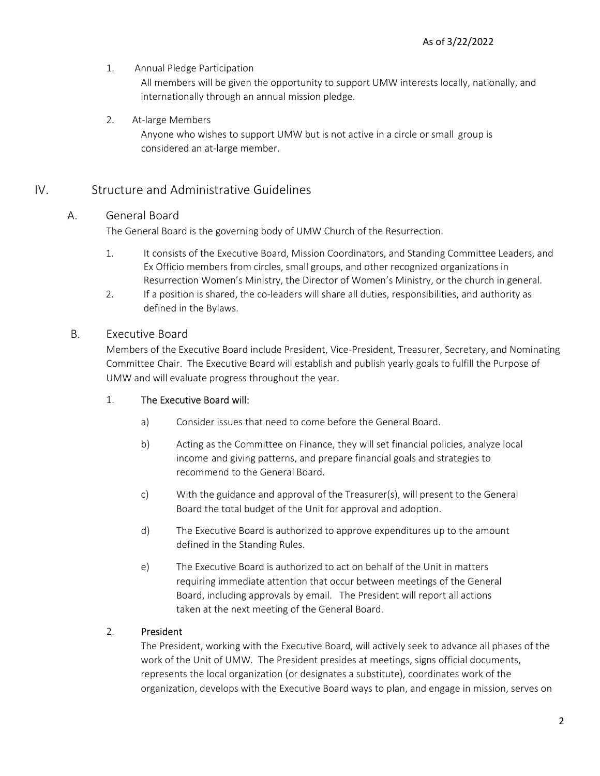1. Annual Pledge Participation

 All members will be given the opportunity to support UMW interests locally, nationally, and internationally through an annual mission pledge.

2. At-large Members

Anyone who wishes to support UMW but is not active in a circle or small group is considered an at-large member.

### IV. Structure and Administrative Guidelines

#### A. General Board

The General Board is the governing body of UMW Church of the Resurrection.

- 1. It consists of the Executive Board, Mission Coordinators, and Standing Committee Leaders, and Ex Officio members from circles, small groups, and other recognized organizations in Resurrection Women's Ministry, the Director of Women's Ministry, or the church in general.
- 2. If a position is shared, the co-leaders will share all duties, responsibilities, and authority as defined in the Bylaws.

#### B. Executive Board

Members of the Executive Board include President, Vice-President, Treasurer, Secretary, and Nominating Committee Chair. The Executive Board will establish and publish yearly goals to fulfill the Purpose of UMW and will evaluate progress throughout the year.

#### 1. The Executive Board will:

- a) Consider issues that need to come before the General Board.
- b) Acting as the Committee on Finance, they will set financial policies, analyze local income and giving patterns, and prepare financial goals and strategies to recommend to the General Board.
- c) With the guidance and approval of the Treasurer(s), will present to the General Board the total budget of the Unit for approval and adoption.
- d) The Executive Board is authorized to approve expenditures up to the amount defined in the Standing Rules.
- e) The Executive Board is authorized to act on behalf of the Unit in matters requiring immediate attention that occur between meetings of the General Board, including approvals by email. The President will report all actions taken at the next meeting of the General Board.

#### 2. President

The President, working with the Executive Board, will actively seek to advance all phases of the work of the Unit of UMW. The President presides at meetings, signs official documents, represents the local organization (or designates a substitute), coordinates work of the organization, develops with the Executive Board ways to plan, and engage in mission, serves on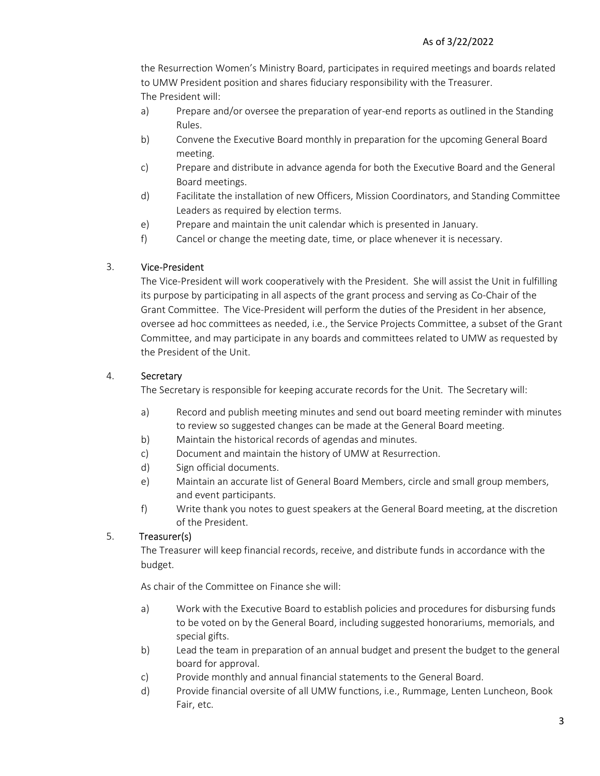the Resurrection Women's Ministry Board, participates in required meetings and boards related to UMW President position and shares fiduciary responsibility with the Treasurer. The President will:

- a) Prepare and/or oversee the preparation of year-end reports as outlined in the Standing Rules.
- b) Convene the Executive Board monthly in preparation for the upcoming General Board meeting.
- c) Prepare and distribute in advance agenda for both the Executive Board and the General Board meetings.
- d) Facilitate the installation of new Officers, Mission Coordinators, and Standing Committee Leaders as required by election terms.
- e) Prepare and maintain the unit calendar which is presented in January.
- f) Cancel or change the meeting date, time, or place whenever it is necessary.

#### 3. Vice-President

The Vice-President will work cooperatively with the President. She will assist the Unit in fulfilling its purpose by participating in all aspects of the grant process and serving as Co-Chair of the Grant Committee. The Vice-President will perform the duties of the President in her absence, oversee ad hoc committees as needed, i.e., the Service Projects Committee, a subset of the Grant Committee, and may participate in any boards and committees related to UMW as requested by the President of the Unit.

#### 4. Secretary

The Secretary is responsible for keeping accurate records for the Unit. The Secretary will:

- a) Record and publish meeting minutes and send out board meeting reminder with minutes to review so suggested changes can be made at the General Board meeting.
- b) Maintain the historical records of agendas and minutes.
- c) Document and maintain the history of UMW at Resurrection.
- d) Sign official documents.
- e) Maintain an accurate list of General Board Members, circle and small group members, and event participants.
- f) Write thank you notes to guest speakers at the General Board meeting, at the discretion of the President.

### 5. Treasurer(s)

The Treasurer will keep financial records, receive, and distribute funds in accordance with the budget.

As chair of the Committee on Finance she will:

- a) Work with the Executive Board to establish policies and procedures for disbursing funds to be voted on by the General Board, including suggested honorariums, memorials, and special gifts.
- b) Lead the team in preparation of an annual budget and present the budget to the general board for approval.
- c) Provide monthly and annual financial statements to the General Board.
- d) Provide financial oversite of all UMW functions, i.e., Rummage, Lenten Luncheon, Book Fair, etc.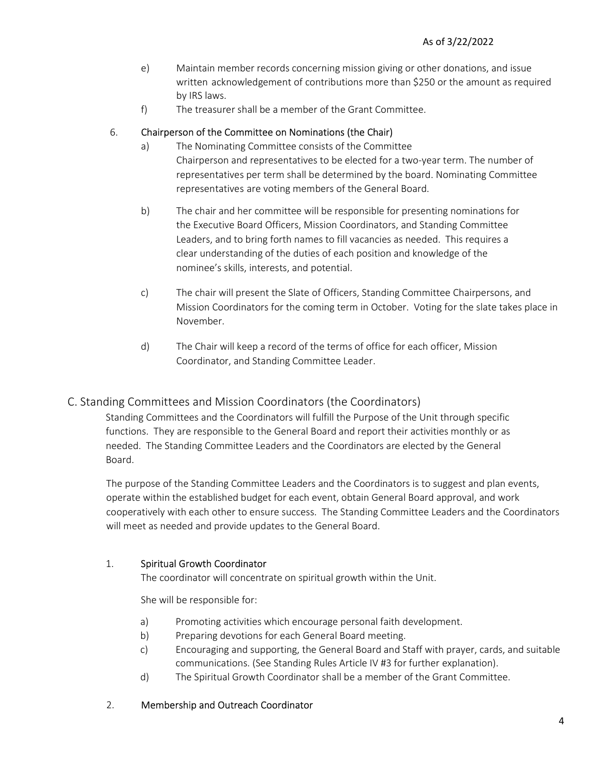- e) Maintain member records concerning mission giving or other donations, and issue written acknowledgement of contributions more than \$250 or the amount as required by IRS laws.
- f) The treasurer shall be a member of the Grant Committee.

#### 6. Chairperson of the Committee on Nominations (the Chair)

- a) The Nominating Committee consists of the Committee Chairperson and representatives to be elected for a two-year term. The number of representatives per term shall be determined by the board. Nominating Committee representatives are voting members of the General Board.
- b) The chair and her committee will be responsible for presenting nominations for the Executive Board Officers, Mission Coordinators, and Standing Committee Leaders, and to bring forth names to fill vacancies as needed. This requires a clear understanding of the duties of each position and knowledge of the nominee's skills, interests, and potential.
- c) The chair will present the Slate of Officers, Standing Committee Chairpersons, and Mission Coordinators for the coming term in October. Voting for the slate takes place in November.
- d) The Chair will keep a record of the terms of office for each officer, Mission Coordinator, and Standing Committee Leader.

### C. Standing Committees and Mission Coordinators (the Coordinators)

Standing Committees and the Coordinators will fulfill the Purpose of the Unit through specific functions. They are responsible to the General Board and report their activities monthly or as needed. The Standing Committee Leaders and the Coordinators are elected by the General Board.

The purpose of the Standing Committee Leaders and the Coordinators is to suggest and plan events, operate within the established budget for each event, obtain General Board approval, and work cooperatively with each other to ensure success. The Standing Committee Leaders and the Coordinators will meet as needed and provide updates to the General Board.

#### 1. Spiritual Growth Coordinator

The coordinator will concentrate on spiritual growth within the Unit.

She will be responsible for:

- a) Promoting activities which encourage personal faith development.
- b) Preparing devotions for each General Board meeting.
- c) Encouraging and supporting, the General Board and Staff with prayer, cards, and suitable communications. (See Standing Rules Article IV #3 for further explanation).
- d) The Spiritual Growth Coordinator shall be a member of the Grant Committee.
- 2. Membership and Outreach Coordinator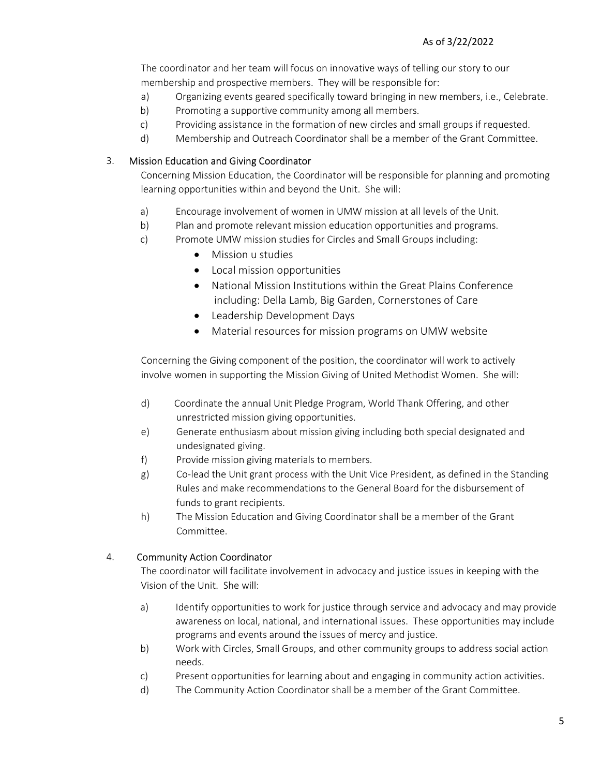The coordinator and her team will focus on innovative ways of telling our story to our membership and prospective members. They will be responsible for:

- a) Organizing events geared specifically toward bringing in new members, i.e., Celebrate.
- b) Promoting a supportive community among all members.
- c) Providing assistance in the formation of new circles and small groups if requested.
- d) Membership and Outreach Coordinator shall be a member of the Grant Committee.

#### 3. Mission Education and Giving Coordinator

Concerning Mission Education, the Coordinator will be responsible for planning and promoting learning opportunities within and beyond the Unit. She will:

- a) Encourage involvement of women in UMW mission at all levels of the Unit.
- b) Plan and promote relevant mission education opportunities and programs.
- c) Promote UMW mission studies for Circles and Small Groups including:
	- Mission u studies
	- Local mission opportunities
	- National Mission Institutions within the Great Plains Conference including: Della Lamb, Big Garden, Cornerstones of Care
	- Leadership Development Days
	- Material resources for mission programs on UMW website

Concerning the Giving component of the position, the coordinator will work to actively involve women in supporting the Mission Giving of United Methodist Women. She will:

- d) Coordinate the annual Unit Pledge Program, World Thank Offering, and other unrestricted mission giving opportunities.
- e) Generate enthusiasm about mission giving including both special designated and undesignated giving.
- f) Provide mission giving materials to members.
- g) Co-lead the Unit grant process with the Unit Vice President, as defined in the Standing Rules and make recommendations to the General Board for the disbursement of funds to grant recipients.
- h) The Mission Education and Giving Coordinator shall be a member of the Grant Committee.

#### 4. Community Action Coordinator

The coordinator will facilitate involvement in advocacy and justice issues in keeping with the Vision of the Unit. She will:

- a) Identify opportunities to work for justice through service and advocacy and may provide awareness on local, national, and international issues. These opportunities may include programs and events around the issues of mercy and justice.
- b) Work with Circles, Small Groups, and other community groups to address social action needs.
- c) Present opportunities for learning about and engaging in community action activities.
- d) The Community Action Coordinator shall be a member of the Grant Committee.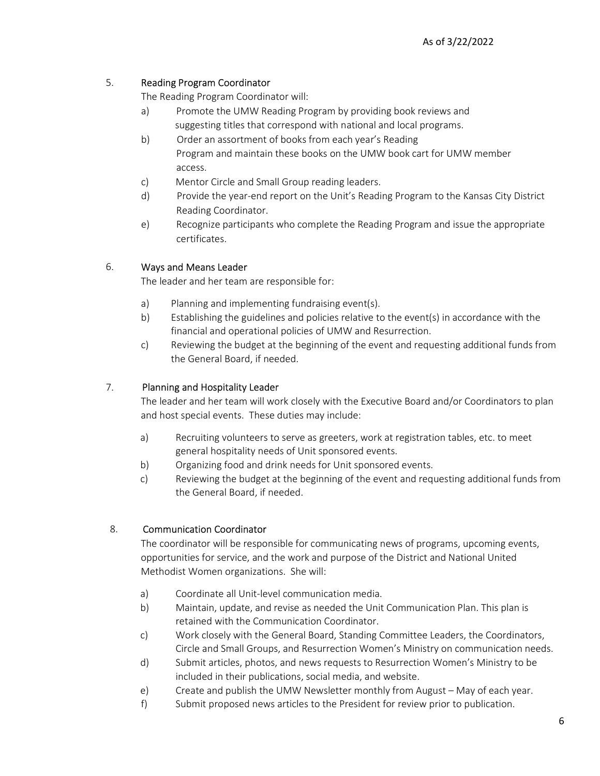#### 5. Reading Program Coordinator

The Reading Program Coordinator will:

- a) Promote the UMW Reading Program by providing book reviews and suggesting titles that correspond with national and local programs.
- b) Order an assortment of books from each year's Reading Program and maintain these books on the UMW book cart for UMW member access.
- c) Mentor Circle and Small Group reading leaders.
- d) Provide the year-end report on the Unit's Reading Program to the Kansas City District Reading Coordinator.
- e) Recognize participants who complete the Reading Program and issue the appropriate certificates.

#### 6. Ways and Means Leader

The leader and her team are responsible for:

- a) Planning and implementing fundraising event(s).
- b) Establishing the guidelines and policies relative to the event(s) in accordance with the financial and operational policies of UMW and Resurrection.
- c) Reviewing the budget at the beginning of the event and requesting additional funds from the General Board, if needed.

### 7. Planning and Hospitality Leader

The leader and her team will work closely with the Executive Board and/or Coordinators to plan and host special events. These duties may include:

- a) Recruiting volunteers to serve as greeters, work at registration tables, etc. to meet general hospitality needs of Unit sponsored events.
- b) Organizing food and drink needs for Unit sponsored events.
- c) Reviewing the budget at the beginning of the event and requesting additional funds from the General Board, if needed.

#### 8. Communication Coordinator

The coordinator will be responsible for communicating news of programs, upcoming events, opportunities for service, and the work and purpose of the District and National United Methodist Women organizations. She will:

- a) Coordinate all Unit-level communication media.
- b) Maintain, update, and revise as needed the Unit Communication Plan. This plan is retained with the Communication Coordinator.
- c) Work closely with the General Board, Standing Committee Leaders, the Coordinators, Circle and Small Groups, and Resurrection Women's Ministry on communication needs.
- d) Submit articles, photos, and news requests to Resurrection Women's Ministry to be included in their publications, social media, and website.
- e) Create and publish the UMW Newsletter monthly from August May of each year.
- f) Submit proposed news articles to the President for review prior to publication.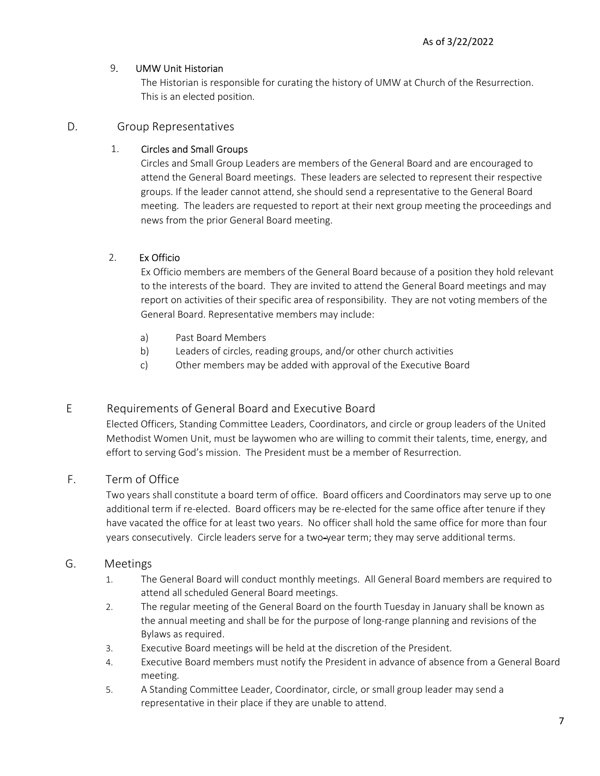#### 9. UMW Unit Historian

 The Historian is responsible for curating the history of UMW at Church of the Resurrection. This is an elected position.

#### D. Group Representatives

#### 1. Circles and Small Groups

Circles and Small Group Leaders are members of the General Board and are encouraged to attend the General Board meetings. These leaders are selected to represent their respective groups. If the leader cannot attend, she should send a representative to the General Board meeting. The leaders are requested to report at their next group meeting the proceedings and news from the prior General Board meeting.

### 2. Ex Officio

Ex Officio members are members of the General Board because of a position they hold relevant to the interests of the board. They are invited to attend the General Board meetings and may report on activities of their specific area of responsibility. They are not voting members of the General Board. Representative members may include:

- a) Past Board Members
- b) Leaders of circles, reading groups, and/or other church activities
- c) Other members may be added with approval of the Executive Board

### E Requirements of General Board and Executive Board

Elected Officers, Standing Committee Leaders, Coordinators, and circle or group leaders of the United Methodist Women Unit, must be laywomen who are willing to commit their talents, time, energy, and effort to serving God's mission. The President must be a member of Resurrection.

### F. Term of Office

Two years shall constitute a board term of office. Board officers and Coordinators may serve up to one additional term if re-elected. Board officers may be re-elected for the same office after tenure if they have vacated the office for at least two years. No officer shall hold the same office for more than four years consecutively. Circle leaders serve for a two-year term; they may serve additional terms.

### G. Meetings

- 1. The General Board will conduct monthly meetings. All General Board members are required to attend all scheduled General Board meetings.
- 2. The regular meeting of the General Board on the fourth Tuesday in January shall be known as the annual meeting and shall be for the purpose of long-range planning and revisions of the Bylaws as required.
- 3. Executive Board meetings will be held at the discretion of the President.
- 4. Executive Board members must notify the President in advance of absence from a General Board meeting.
- 5. A Standing Committee Leader, Coordinator, circle, or small group leader may send a representative in their place if they are unable to attend.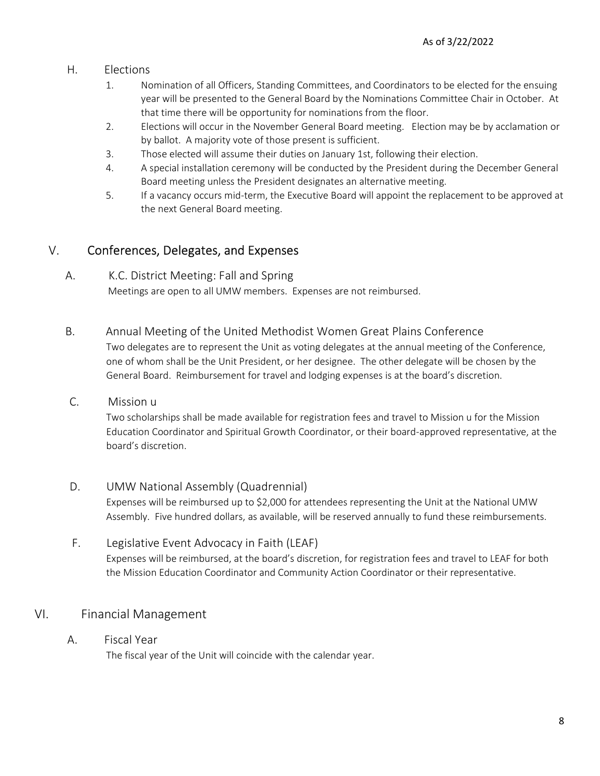### H. Elections

- 1. Nomination of all Officers, Standing Committees, and Coordinators to be elected for the ensuing year will be presented to the General Board by the Nominations Committee Chair in October. At that time there will be opportunity for nominations from the floor.
- 2. Elections will occur in the November General Board meeting. Election may be by acclamation or by ballot. A majority vote of those present is sufficient.
- 3. Those elected will assume their duties on January 1st, following their election.
- 4. A special installation ceremony will be conducted by the President during the December General Board meeting unless the President designates an alternative meeting.
- 5. If a vacancy occurs mid-term, the Executive Board will appoint the replacement to be approved at the next General Board meeting.

# V. Conferences, Delegates, and Expenses

### A. K.C. District Meeting: Fall and Spring Meetings are open to all UMW members. Expenses are not reimbursed.

- B. Annual Meeting of the United Methodist Women Great Plains Conference Two delegates are to represent the Unit as voting delegates at the annual meeting of the Conference, one of whom shall be the Unit President, or her designee. The other delegate will be chosen by the General Board. Reimbursement for travel and lodging expenses is at the board's discretion.
- C. Mission u

Two scholarships shall be made available for registration fees and travel to Mission u for the Mission Education Coordinator and Spiritual Growth Coordinator, or their board-approved representative, at the board's discretion.

- D. UMW National Assembly (Quadrennial) Expenses will be reimbursed up to \$2,000 for attendees representing the Unit at the National UMW Assembly. Five hundred dollars, as available, will be reserved annually to fund these reimbursements.
- F. Legislative Event Advocacy in Faith (LEAF) Expenses will be reimbursed, at the board's discretion, for registration fees and travel to LEAF for both the Mission Education Coordinator and Community Action Coordinator or their representative.

# VI. Financial Management

### A. Fiscal Year

The fiscal year of the Unit will coincide with the calendar year.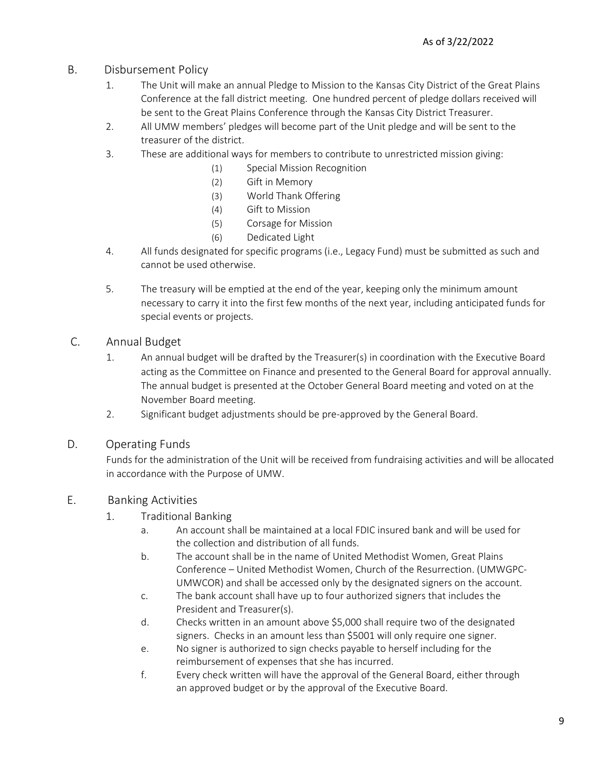- B. Disbursement Policy
	- 1. The Unit will make an annual Pledge to Mission to the Kansas City District of the Great Plains Conference at the fall district meeting. One hundred percent of pledge dollars received will be sent to the Great Plains Conference through the Kansas City District Treasurer.
	- 2. All UMW members' pledges will become part of the Unit pledge and will be sent to the treasurer of the district.
	- 3. These are additional ways for members to contribute to unrestricted mission giving:
		- (1) Special Mission Recognition
		- (2) Gift in Memory
		- (3) World Thank Offering
		- (4) Gift to Mission
		- (5) Corsage for Mission
		- (6) Dedicated Light
	- 4. All funds designated for specific programs (i.e., Legacy Fund) must be submitted as such and cannot be used otherwise.
	- 5. The treasury will be emptied at the end of the year, keeping only the minimum amount necessary to carry it into the first few months of the next year, including anticipated funds for special events or projects.
- C. Annual Budget
	- 1. An annual budget will be drafted by the Treasurer(s) in coordination with the Executive Board acting as the Committee on Finance and presented to the General Board for approval annually. The annual budget is presented at the October General Board meeting and voted on at the November Board meeting.
	- 2. Significant budget adjustments should be pre-approved by the General Board.
- D. Operating Funds

Funds for the administration of the Unit will be received from fundraising activities and will be allocated in accordance with the Purpose of UMW.

### E. Banking Activities

- 1. Traditional Banking
	- a. An account shall be maintained at a local FDIC insured bank and will be used for the collection and distribution of all funds.
	- b. The account shall be in the name of United Methodist Women, Great Plains Conference – United Methodist Women, Church of the Resurrection. (UMWGPC- UMWCOR) and shall be accessed only by the designated signers on the account.
	- c. The bank account shall have up to four authorized signers that includes the President and Treasurer(s).
	- d. Checks written in an amount above \$5,000 shall require two of the designated signers. Checks in an amount less than \$5001 will only require one signer.
	- e. No signer is authorized to sign checks payable to herself including for the reimbursement of expenses that she has incurred.
	- f. Every check written will have the approval of the General Board, either through an approved budget or by the approval of the Executive Board.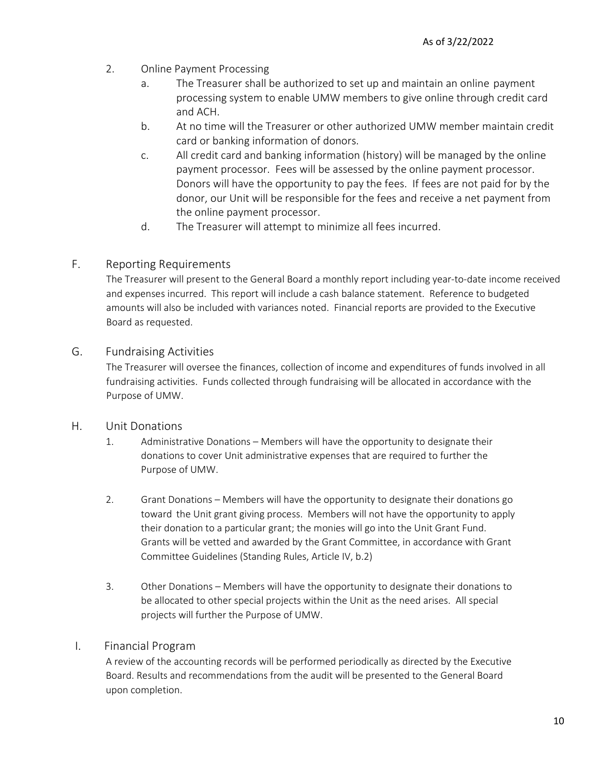- 2. Online Payment Processing
	- a. The Treasurer shall be authorized to set up and maintain an online payment processing system to enable UMW members to give online through credit card and ACH.
	- b. At no time will the Treasurer or other authorized UMW member maintain credit card or banking information of donors.
	- c. All credit card and banking information (history) will be managed by the online payment processor. Fees will be assessed by the online payment processor. Donors will have the opportunity to pay the fees. If fees are not paid for by the donor, our Unit will be responsible for the fees and receive a net payment from the online payment processor.
	- d. The Treasurer will attempt to minimize all fees incurred.

### F. Reporting Requirements

The Treasurer will present to the General Board a monthly report including year-to-date income received and expenses incurred. This report will include a cash balance statement. Reference to budgeted amounts will also be included with variances noted. Financial reports are provided to the Executive Board as requested.

### G. Fundraising Activities

The Treasurer will oversee the finances, collection of income and expenditures of funds involved in all fundraising activities. Funds collected through fundraising will be allocated in accordance with the Purpose of UMW.

### H. Unit Donations

- 1. Administrative Donations Members will have the opportunity to designate their donations to cover Unit administrative expenses that are required to further the Purpose of UMW.
- 2. Grant Donations Members will have the opportunity to designate their donations go toward the Unit grant giving process. Members will not have the opportunity to apply their donation to a particular grant; the monies will go into the Unit Grant Fund. Grants will be vetted and awarded by the Grant Committee, in accordance with Grant Committee Guidelines (Standing Rules, Article IV, b.2)
- 3. Other Donations Members will have the opportunity to designate their donations to be allocated to other special projects within the Unit as the need arises. All special projects will further the Purpose of UMW.

#### I. Financial Program

 A review of the accounting records will be performed periodically as directed by the Executive Board. Results and recommendations from the audit will be presented to the General Board upon completion.